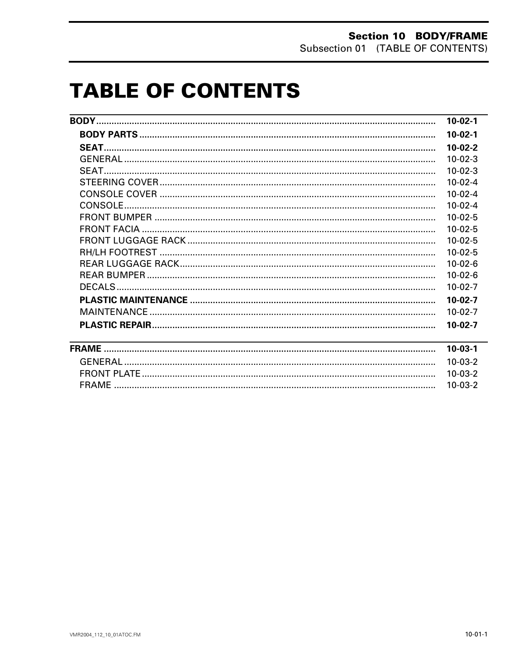# **TABLE OF CONTENTS**

|                                                                                                                       | $10-02-1$ |
|-----------------------------------------------------------------------------------------------------------------------|-----------|
|                                                                                                                       | $10-02-1$ |
|                                                                                                                       | $10-02-2$ |
|                                                                                                                       | $10-02-3$ |
|                                                                                                                       | $10-02-3$ |
|                                                                                                                       | $10-02-4$ |
|                                                                                                                       | $10-02-4$ |
|                                                                                                                       | $10-02-4$ |
|                                                                                                                       | $10-02-5$ |
|                                                                                                                       | $10-02-5$ |
|                                                                                                                       | $10-02-5$ |
|                                                                                                                       | $10-02-5$ |
|                                                                                                                       | $10-02-6$ |
|                                                                                                                       | $10-02-6$ |
|                                                                                                                       | $10-02-7$ |
|                                                                                                                       | $10-02-7$ |
|                                                                                                                       | $10-02-7$ |
|                                                                                                                       | $10-02-7$ |
| <u> 1989 - Johann Barn, amerikan bernama di sebagai bernama di sebagai bernama di sebagai bernama di sebagai bern</u> | $10-03-1$ |
|                                                                                                                       | $10-03-2$ |
|                                                                                                                       | $10-03-2$ |
|                                                                                                                       | $10-03-2$ |
|                                                                                                                       |           |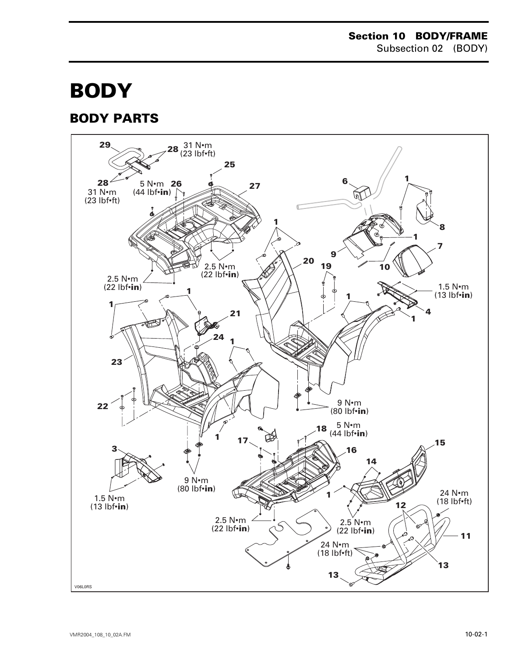# **BODY 0**

# <span id="page-1-0"></span>**BODY PARTS**

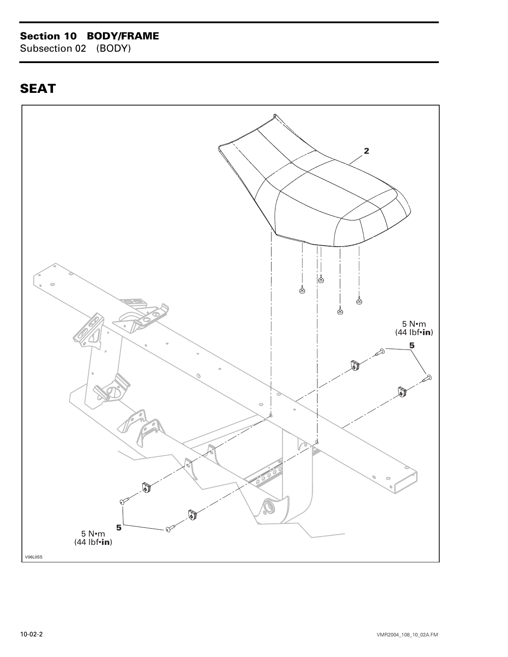### **Section 10 BODY/FRAME**

Subsection 02 (BODY)

# <span id="page-2-0"></span>**SEAT**

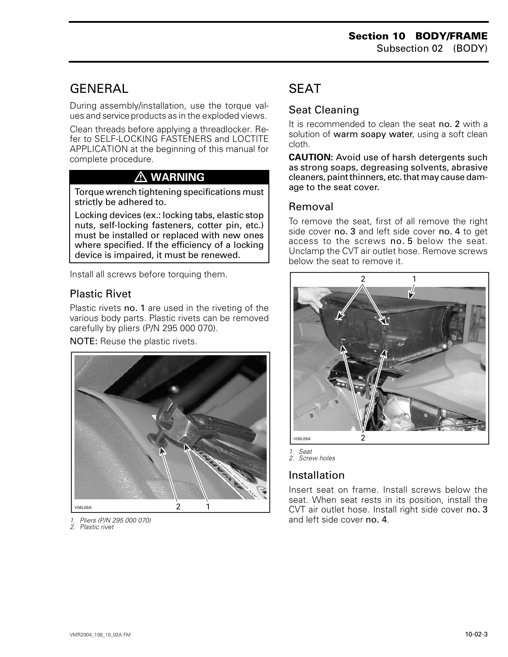# <span id="page-3-0"></span>**GENERAL**

During assembly/installation, use the torque values and service products as in the exploded views.

Clean threads before applying a threadlocker. Refer to SELF-LOCKING FASTENERS and LOCTITE APPLICATION at the beginning of this manual for complete procedure.

# **WARNING**

Torque wrench tightening specifications must strictly be adhered to.

Locking devices (ex.: locking tabs, elastic stop nuts, self-locking fasteners, cotter pin, etc.) must be installed or replaced with new ones where specified. If the efficiency of a locking device is impaired, it must be renewed.

Install all screws before torquing them.

### Plastic Rivet

Plastic rivets no. 1 are used in the riveting of the various body parts. Plastic rivets can be removed carefully by pliers (P/N 295 000 070).

NOTE: Reuse the plastic rivets.



- *1. Pliers (P/N 295 000 070)*
- *2. Plastic rivet*

# **SFAT**

### Seat Cleaning

It is recommended to clean the seat no. 2 with a solution of warm soapy water, using a soft clean cloth.

**CAUTION:** Avoid use of harsh detergents such as strong soaps, degreasing solvents, abrasive cleaners, paint thinners, etc. that may cause damage to the seat cover.

#### Removal

To remove the seat, first of all remove the right side cover no. 3 and left side cover no. 4 to get access to the screws no. 5 below the seat. Unclamp the CVT air outlet hose. Remove screws below the seat to remove it.



*1. Seat*

*2. Screw holes*

### Installation

Insert seat on frame. Install screws below the seat. When seat rests in its position, install the CVT air outlet hose. Install right side cover no. 3 and left side cover no. 4.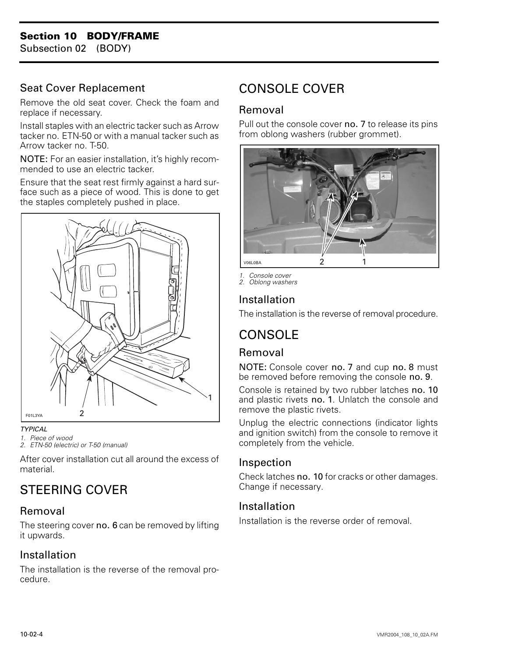### **Section 10 BODY/FRAME**

Subsection 02 (BODY)

#### Seat Cover Replacement

Remove the old seat cover. Check the foam and replace if necessary.

Install staples with an electric tacker such as Arrow tacker no. ETN-50 or with a manual tacker such as Arrow tacker no. T-50.

NOTE: For an easier installation, it's highly recommended to use an electric tacker.

Ensure that the seat rest firmly against a hard surface such as a piece of wood. This is done to get the staples completely pushed in place.



#### *TYPICAL*

*1. Piece of wood*

*2. ETN-50 (electric) or T-50 (manual)*

After cover installation cut all around the excess of material.

# <span id="page-4-0"></span>STEERING COVER

#### Removal

The steering cover no. 6 can be removed by lifting it upwards.

#### Installation

The installation is the reverse of the removal procedure.

# CONSOLE COVER

#### Removal

Pull out the console cover no. 7 to release its pins from oblong washers (rubber grommet).



*1. Console cover 2. Oblong washers*

#### Installation

The installation is the reverse of removal procedure.

# **CONSOLE**

#### Removal

NOTE: Console cover no. 7 and cup no. 8 must be removed before removing the console no. 9.

Console is retained by two rubber latches no. 10 and plastic rivets no. 1. Unlatch the console and remove the plastic rivets.

Unplug the electric connections (indicator lights and ignition switch) from the console to remove it completely from the vehicle.

#### Inspection

Check latches no. 10 for cracks or other damages. Change if necessary.

#### Installation

Installation is the reverse order of removal.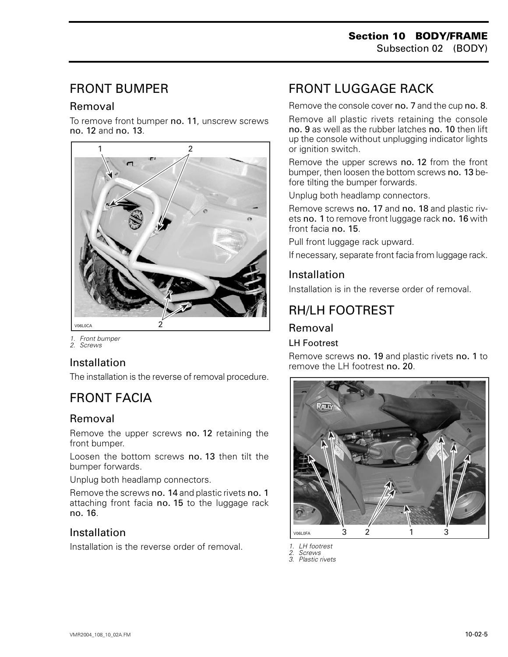# <span id="page-5-0"></span>FRONT BUMPER

### Removal

To remove front bumper no. 11, unscrew screws no. 12 and no. 13.



*1. Front bumper*

#### *2. Screws*

### Installation

The installation is the reverse of removal procedure.

# FRONT FACIA

### Removal

Remove the upper screws no. 12 retaining the front bumper.

Loosen the bottom screws no. 13 then tilt the bumper forwards.

Unplug both headlamp connectors.

Remove the screws no. 14 and plastic rivets no. 1 attaching front facia no. 15 to the luggage rack no. 16.

### Installation

Installation is the reverse order of removal.

# FRONT LUGGAGE RACK

Remove the console cover no. 7 and the cup no. 8.

Remove all plastic rivets retaining the console no. 9 as well as the rubber latches no. 10 then lift up the console without unplugging indicator lights or ignition switch.

Remove the upper screws no. 12 from the front bumper, then loosen the bottom screws no. 13 before tilting the bumper forwards.

Unplug both headlamp connectors.

Remove screws no. 17 and no. 18 and plastic rivets no. 1 to remove front luggage rack no. 16 with front facia no. 15.

Pull front luggage rack upward.

If necessary, separate front facia from luggage rack.

### Installation

Installation is in the reverse order of removal.

# RH/LH FOOTREST

#### Removal

#### LH Footrest

Remove screws no. 19 and plastic rivets no. 1 to remove the LH footrest no. 20.





*2. Screws*

*3. Plastic rivets*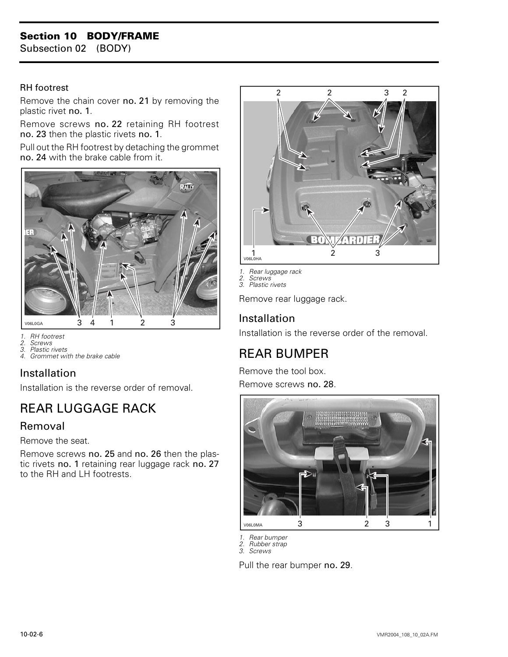#### RH footrest

Remove the chain cover no. 21 by removing the plastic rivet no. 1.

Remove screws no. 22 retaining RH footrest no. 23 then the plastic rivets no. 1.

Pull out the RH footrest by detaching the grommet no. 24 with the brake cable from it.



- *1. RH footrest*
- *2. Screws 3. Plastic rivets*
- 
- *4. Grommet with the brake cable*

### Installation

Installation is the reverse order of removal.

# <span id="page-6-0"></span>REAR LUGGAGE RACK

#### Removal

Remove the seat.

Remove screws no. 25 and no. 26 then the plastic rivets no. 1 retaining rear luggage rack no. 27 to the RH and LH footrests.



*1. Rear luggage rack*

*2. Screws 3. Plastic rivets*

Remove rear luggage rack.

### Installation

Installation is the reverse order of the removal.

# REAR BUMPER

Remove the tool box. Remove screws no. 28.



*1. Rear bumper*

*2. Rubber strap 3. Screws*

Pull the rear bumper no. 29.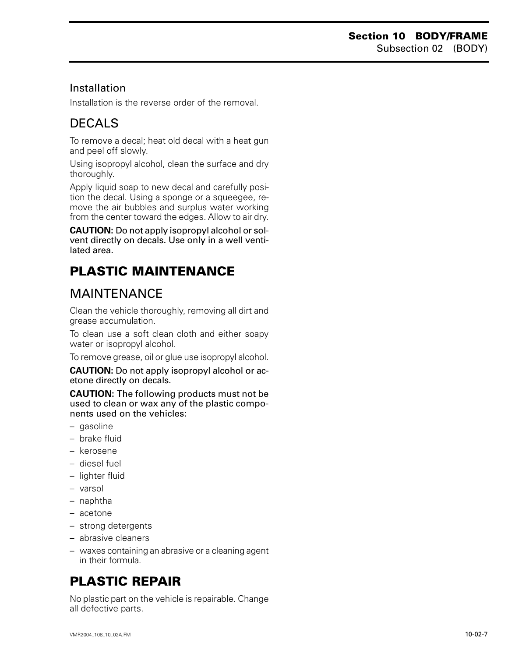### Installation

Installation is the reverse order of the removal.

# <span id="page-7-0"></span>DECALS

To remove a decal; heat old decal with a heat gun and peel off slowly.

Using isopropyl alcohol, clean the surface and dry thoroughly.

Apply liquid soap to new decal and carefully position the decal. Using a sponge or a squeegee, remove the air bubbles and surplus water working from the center toward the edges. Allow to air dry.

**CAUTION:** Do not apply isopropyl alcohol or solvent directly on decals. Use only in a well ventilated area.

# **PLASTIC MAINTENANCE**

# MAINTENANCE

Clean the vehicle thoroughly, removing all dirt and grease accumulation.

To clean use a soft clean cloth and either soapy water or isopropyl alcohol.

To remove grease, oil or glue use isopropyl alcohol.

**CAUTION:** Do not apply isopropyl alcohol or acetone directly on decals.

**CAUTION:** The following products must not be used to clean or wax any of the plastic components used on the vehicles:

- gasoline
- brake fluid
- kerosene
- diesel fuel
- lighter fluid
- varsol
- naphtha
- acetone
- strong detergents
- abrasive cleaners
- waxes containing an abrasive or a cleaning agent in their formula.

# **PLASTIC REPAIR**

No plastic part on the vehicle is repairable. Change all defective parts.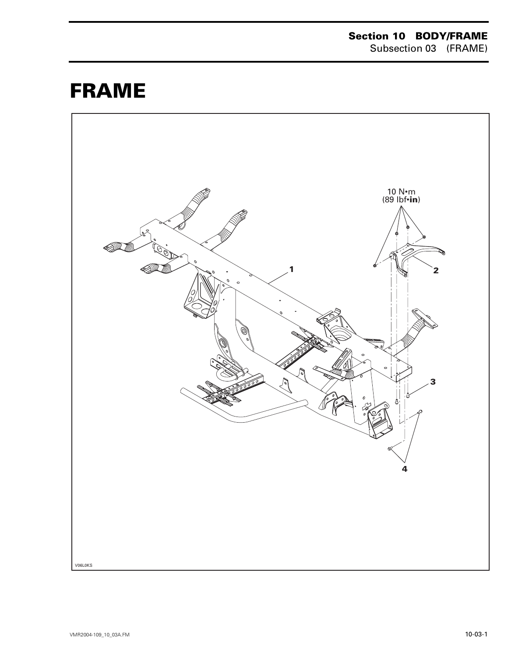# <span id="page-8-0"></span>**FRAME 0**